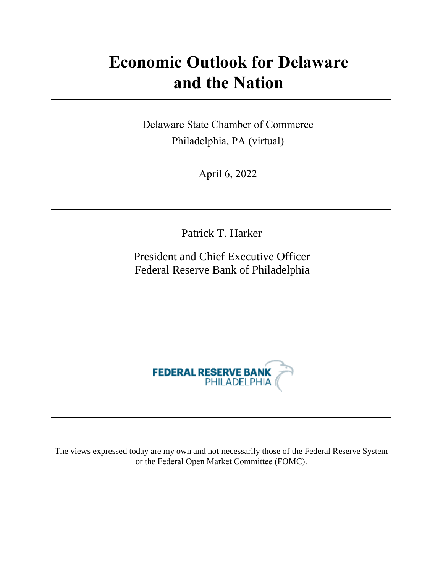# **Economic Outlook for Delaware and the Nation**

Delaware State Chamber of Commerce Philadelphia, PA (virtual)

April 6, 2022

Patrick T. Harker

President and Chief Executive Officer Federal Reserve Bank of Philadelphia



The views expressed today are my own and not necessarily those of the Federal Reserve System or the Federal Open Market Committee (FOMC).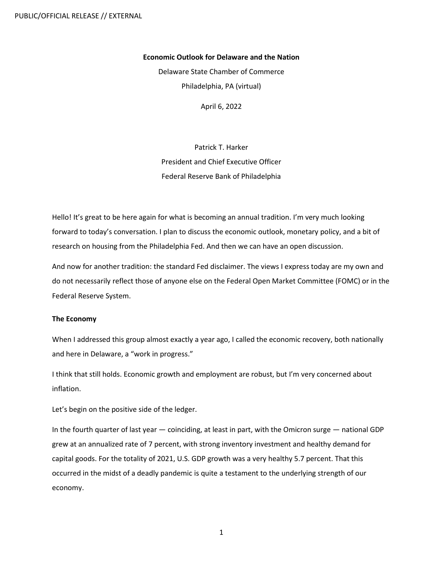## **Economic Outlook for Delaware and the Nation**

Delaware State Chamber of Commerce Philadelphia, PA (virtual)

April 6, 2022

Patrick T. Harker President and Chief Executive Officer Federal Reserve Bank of Philadelphia

Hello! It's great to be here again for what is becoming an annual tradition. I'm very much looking forward to today's conversation. I plan to discuss the economic outlook, monetary policy, and a bit of research on housing from the Philadelphia Fed. And then we can have an open discussion.

And now for another tradition: the standard Fed disclaimer. The views I express today are my own and do not necessarily reflect those of anyone else on the Federal Open Market Committee (FOMC) or in the Federal Reserve System.

## **The Economy**

When I addressed this group almost exactly a year ago, I called the economic recovery, both nationally and here in Delaware, a "work in progress."

I think that still holds. Economic growth and employment are robust, but I'm very concerned about inflation.

Let's begin on the positive side of the ledger.

In the fourth quarter of last year — coinciding, at least in part, with the Omicron surge — national GDP grew at an annualized rate of 7 percent, with strong inventory investment and healthy demand for capital goods. For the totality of 2021, U.S. GDP growth was a very healthy 5.7 percent. That this occurred in the midst of a deadly pandemic is quite a testament to the underlying strength of our economy.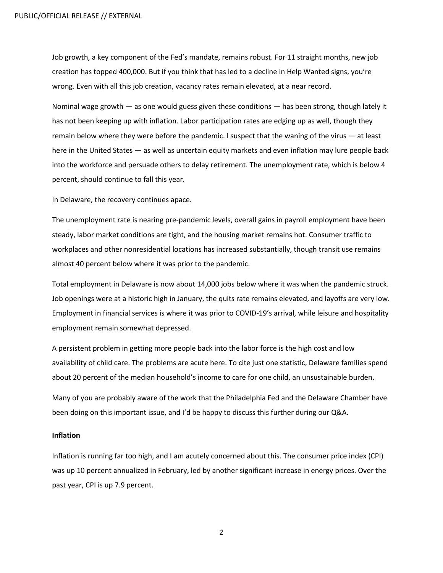Job growth, a key component of the Fed's mandate, remains robust. For 11 straight months, new job creation has topped 400,000. But if you think that has led to a decline in Help Wanted signs, you're wrong. Even with all this job creation, vacancy rates remain elevated, at a near record.

Nominal wage growth — as one would guess given these conditions — has been strong, though lately it has not been keeping up with inflation. Labor participation rates are edging up as well, though they remain below where they were before the pandemic. I suspect that the waning of the virus — at least here in the United States — as well as uncertain equity markets and even inflation may lure people back into the workforce and persuade others to delay retirement. The unemployment rate, which is below 4 percent, should continue to fall this year.

In Delaware, the recovery continues apace.

The unemployment rate is nearing pre-pandemic levels, overall gains in payroll employment have been steady, labor market conditions are tight, and the housing market remains hot. Consumer traffic to workplaces and other nonresidential locations has increased substantially, though transit use remains almost 40 percent below where it was prior to the pandemic.

Total employment in Delaware is now about 14,000 jobs below where it was when the pandemic struck. Job openings were at a historic high in January, the quits rate remains elevated, and layoffs are very low. Employment in financial services is where it was prior to COVID-19's arrival, while leisure and hospitality employment remain somewhat depressed.

A persistent problem in getting more people back into the labor force is the high cost and low availability of child care. The problems are acute here. To cite just one statistic, Delaware families spend about 20 percent of the median household's income to care for one child, an unsustainable burden.

Many of you are probably aware of the work that the Philadelphia Fed and the Delaware Chamber have been doing on this important issue, and I'd be happy to discuss this further during our Q&A.

#### **Inflation**

Inflation is running far too high, and I am acutely concerned about this. The consumer price index (CPI) was up 10 percent annualized in February, led by another significant increase in energy prices. Over the past year, CPI is up 7.9 percent.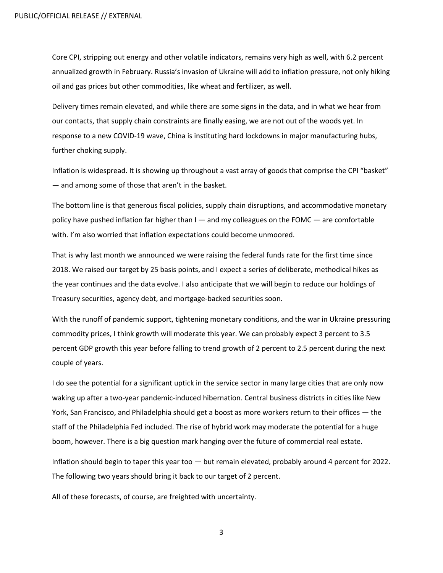Core CPI, stripping out energy and other volatile indicators, remains very high as well, with 6.2 percent annualized growth in February. Russia's invasion of Ukraine will add to inflation pressure, not only hiking oil and gas prices but other commodities, like wheat and fertilizer, as well.

Delivery times remain elevated, and while there are some signs in the data, and in what we hear from our contacts, that supply chain constraints are finally easing, we are not out of the woods yet. In response to a new COVID-19 wave, China is instituting hard lockdowns in major manufacturing hubs, further choking supply.

Inflation is widespread. It is showing up throughout a vast array of goods that comprise the CPI "basket" — and among some of those that aren't in the basket.

The bottom line is that generous fiscal policies, supply chain disruptions, and accommodative monetary policy have pushed inflation far higher than  $I -$  and my colleagues on the FOMC  $-$  are comfortable with. I'm also worried that inflation expectations could become unmoored.

That is why last month we announced we were raising the federal funds rate for the first time since 2018. We raised our target by 25 basis points, and I expect a series of deliberate, methodical hikes as the year continues and the data evolve. I also anticipate that we will begin to reduce our holdings of Treasury securities, agency debt, and mortgage-backed securities soon.

With the runoff of pandemic support, tightening monetary conditions, and the war in Ukraine pressuring commodity prices, I think growth will moderate this year. We can probably expect 3 percent to 3.5 percent GDP growth this year before falling to trend growth of 2 percent to 2.5 percent during the next couple of years.

I do see the potential for a significant uptick in the service sector in many large cities that are only now waking up after a two-year pandemic-induced hibernation. Central business districts in cities like New York, San Francisco, and Philadelphia should get a boost as more workers return to their offices — the staff of the Philadelphia Fed included. The rise of hybrid work may moderate the potential for a huge boom, however. There is a big question mark hanging over the future of commercial real estate.

Inflation should begin to taper this year too — but remain elevated, probably around 4 percent for 2022. The following two years should bring it back to our target of 2 percent.

All of these forecasts, of course, are freighted with uncertainty.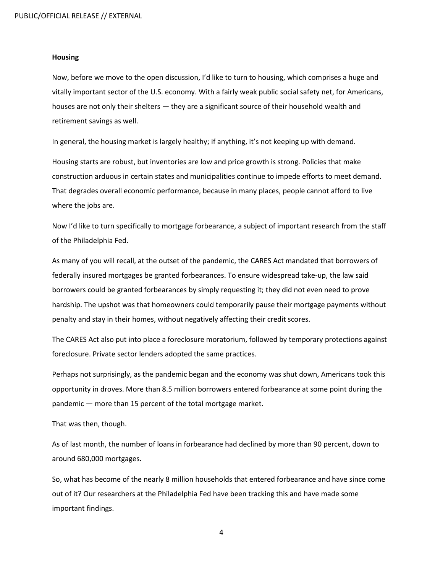### **Housing**

Now, before we move to the open discussion, I'd like to turn to housing, which comprises a huge and vitally important sector of the U.S. economy. With a fairly weak public social safety net, for Americans, houses are not only their shelters — they are a significant source of their household wealth and retirement savings as well.

In general, the housing market is largely healthy; if anything, it's not keeping up with demand.

Housing starts are robust, but inventories are low and price growth is strong. Policies that make construction arduous in certain states and municipalities continue to impede efforts to meet demand. That degrades overall economic performance, because in many places, people cannot afford to live where the jobs are.

Now I'd like to turn specifically to mortgage forbearance, a subject of important research from the staff of the Philadelphia Fed.

As many of you will recall, at the outset of the pandemic, the CARES Act mandated that borrowers of federally insured mortgages be granted forbearances. To ensure widespread take-up, the law said borrowers could be granted forbearances by simply requesting it; they did not even need to prove hardship. The upshot was that homeowners could temporarily pause their mortgage payments without penalty and stay in their homes, without negatively affecting their credit scores.

The CARES Act also put into place a foreclosure moratorium, followed by temporary protections against foreclosure. Private sector lenders adopted the same practices.

Perhaps not surprisingly, as the pandemic began and the economy was shut down, Americans took this opportunity in droves. More than 8.5 million borrowers entered forbearance at some point during the pandemic — more than 15 percent of the total mortgage market.

That was then, though.

As of last month, the number of loans in forbearance had declined by more than 90 percent, down to around 680,000 mortgages.

So, what has become of the nearly 8 million households that entered forbearance and have since come out of it? Our researchers at the Philadelphia Fed have been tracking this and have made some important findings.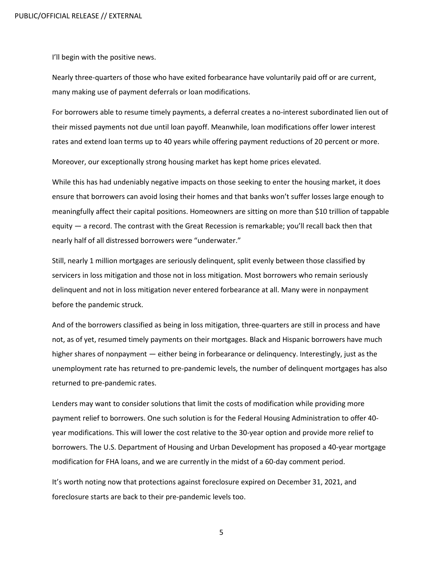I'll begin with the positive news.

Nearly three-quarters of those who have exited forbearance have voluntarily paid off or are current, many making use of payment deferrals or loan modifications.

For borrowers able to resume timely payments, a deferral creates a no-interest subordinated lien out of their missed payments not due until loan payoff. Meanwhile, loan modifications offer lower interest rates and extend loan terms up to 40 years while offering payment reductions of 20 percent or more.

Moreover, our exceptionally strong housing market has kept home prices elevated.

While this has had undeniably negative impacts on those seeking to enter the housing market, it does ensure that borrowers can avoid losing their homes and that banks won't suffer losses large enough to meaningfully affect their capital positions. Homeowners are sitting on more than \$10 trillion of tappable equity — a record. The contrast with the Great Recession is remarkable; you'll recall back then that nearly half of all distressed borrowers were "underwater."

Still, nearly 1 million mortgages are seriously delinquent, split evenly between those classified by servicers in loss mitigation and those not in loss mitigation. Most borrowers who remain seriously delinquent and not in loss mitigation never entered forbearance at all. Many were in nonpayment before the pandemic struck.

And of the borrowers classified as being in loss mitigation, three-quarters are still in process and have not, as of yet, resumed timely payments on their mortgages. Black and Hispanic borrowers have much higher shares of nonpayment — either being in forbearance or delinquency. Interestingly, just as the unemployment rate has returned to pre-pandemic levels, the number of delinquent mortgages has also returned to pre-pandemic rates.

Lenders may want to consider solutions that limit the costs of modification while providing more payment relief to borrowers. One such solution is for the Federal Housing Administration to offer 40 year modifications. This will lower the cost relative to the 30-year option and provide more relief to borrowers. The U.S. Department of Housing and Urban Development has proposed a 40-year mortgage modification for FHA loans, and we are currently in the midst of a 60-day comment period.

It's worth noting now that protections against foreclosure expired on December 31, 2021, and foreclosure starts are back to their pre-pandemic levels too.